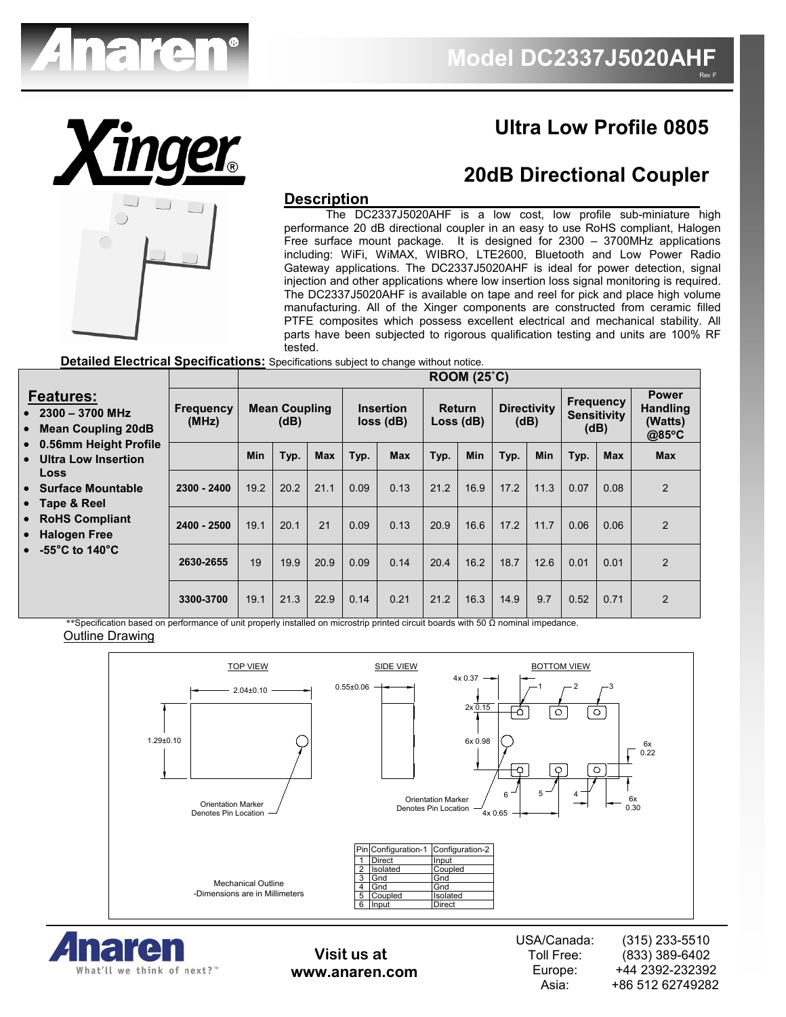

# **Ultra Low Profile 0805**

Rev F

## **20dB Directional Coupler**

#### **Description**

 The DC2337J5020AHF is a low cost, low profile sub-miniature high performance 20 dB directional coupler in an easy to use RoHS compliant, Halogen Free surface mount package. It is designed for 2300 – 3700MHz applications including: WiFi, WiMAX, WIBRO, LTE2600, Bluetooth and Low Power Radio Gateway applications. The DC2337J5020AHF is ideal for power detection, signal injection and other applications where low insertion loss signal monitoring is required. The DC2337J5020AHF is available on tape and reel for pick and place high volume manufacturing. All of the Xinger components are constructed from ceramic filled PTFE composites which possess excellent electrical and mechanical stability. All parts have been subjected to rigorous qualification testing and units are 100% RF tested.

 **Detailed Electrical Specifications:** Specifications subject to change without notice.

|                                                                                              |                                                                                                                                                                                                                                                                                          |                              | ROOM (25 <sup>°</sup> C) |      |                                     |      |                            |      |                            |      |                                                |      |                                                     |                |
|----------------------------------------------------------------------------------------------|------------------------------------------------------------------------------------------------------------------------------------------------------------------------------------------------------------------------------------------------------------------------------------------|------------------------------|--------------------------|------|-------------------------------------|------|----------------------------|------|----------------------------|------|------------------------------------------------|------|-----------------------------------------------------|----------------|
| <b>Features:</b><br>$2300 - 3700$ MHz<br>$\bullet$<br><b>Mean Coupling 20dB</b><br>$\bullet$ | <b>Frequency</b><br>(MHz)                                                                                                                                                                                                                                                                | <b>Mean Coupling</b><br>(dB) |                          |      | <b>Insertion</b><br>$loss$ ( $dB$ ) |      | <b>Return</b><br>Loss (dB) |      | <b>Directivity</b><br>(dB) |      | <b>Frequency</b><br><b>Sensitivity</b><br>(dB) |      | <b>Power</b><br><b>Handling</b><br>(Watts)<br>@85°C |                |
|                                                                                              | 0.56mm Height Profile<br>$\bullet$<br><b>Ultra Low Insertion</b><br>$\bullet$<br>Loss<br><b>Surface Mountable</b><br>$\bullet$<br>Tape & Reel<br>$\bullet$<br><b>RoHS Compliant</b><br>$\bullet$<br><b>Halogen Free</b><br>$\bullet$<br>$-55^{\circ}$ C to 140 $^{\circ}$ C<br>$\bullet$ |                              | <b>Min</b>               | Typ. | <b>Max</b>                          | Typ. | <b>Max</b>                 | Typ. | Min                        | Typ. | <b>Min</b>                                     | Typ. | <b>Max</b>                                          | <b>Max</b>     |
|                                                                                              |                                                                                                                                                                                                                                                                                          | $2300 - 2400$                | 19.2                     | 20.2 | 21.1                                | 0.09 | 0.13                       | 21.2 | 16.9                       | 17.2 | 11.3                                           | 0.07 | 0.08                                                | 2              |
|                                                                                              |                                                                                                                                                                                                                                                                                          | $2400 - 2500$                | 19.1                     | 20.1 | 21                                  | 0.09 | 0.13                       | 20.9 | 16.6                       | 17.2 | 11.7                                           | 0.06 | 0.06                                                | $\overline{2}$ |
|                                                                                              |                                                                                                                                                                                                                                                                                          | 2630-2655                    | 19                       | 19.9 | 20.9                                | 0.09 | 0.14                       | 20.4 | 16.2                       | 18.7 | 12.6                                           | 0.01 | 0.01                                                | $\mathcal{P}$  |
|                                                                                              |                                                                                                                                                                                                                                                                                          | 3300-3700                    | 19.1                     | 21.3 | 22.9                                | 0.14 | 0.21                       | 21.2 | 16.3                       | 14.9 | 9.7                                            | 0.52 | 0.71                                                | $\overline{2}$ |

\*\*Specification based on performance of unit properly installed on microstrip printed circuit boards with 50 Ω nominal impedance. Outline Drawing





**Visit us at www.anaren.com**

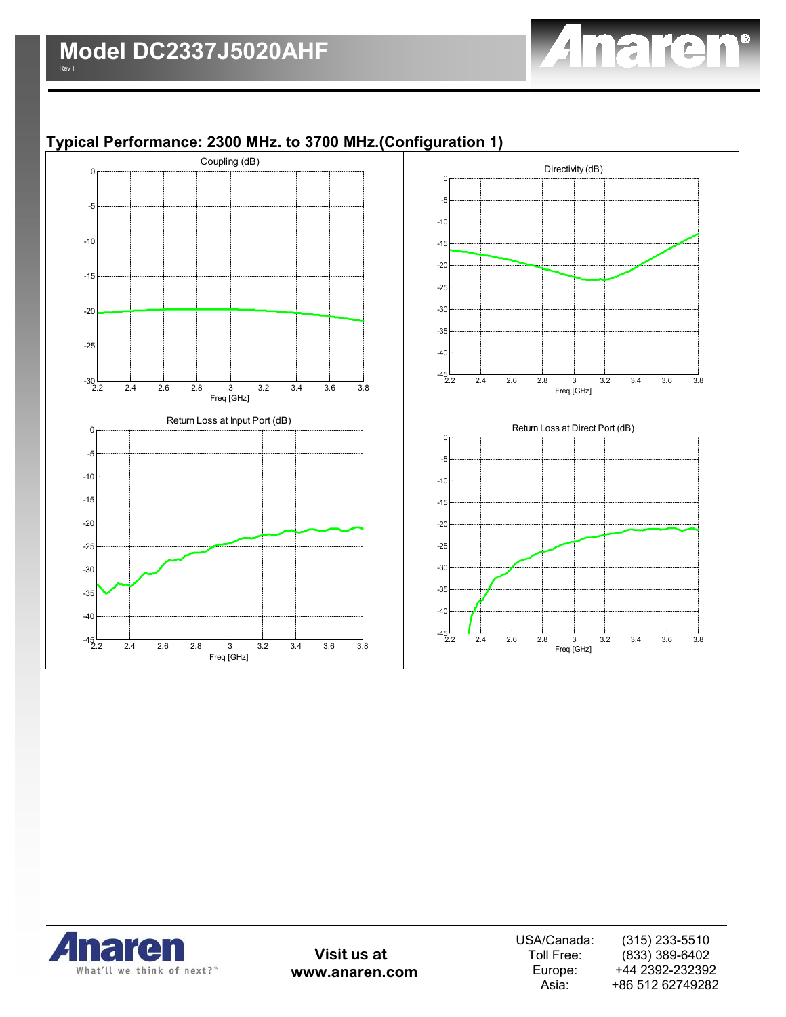

## **Typical Performance: 2300 MHz. to 3700 MHz.(Configuration 1)**





**Visit us at www.anaren.com**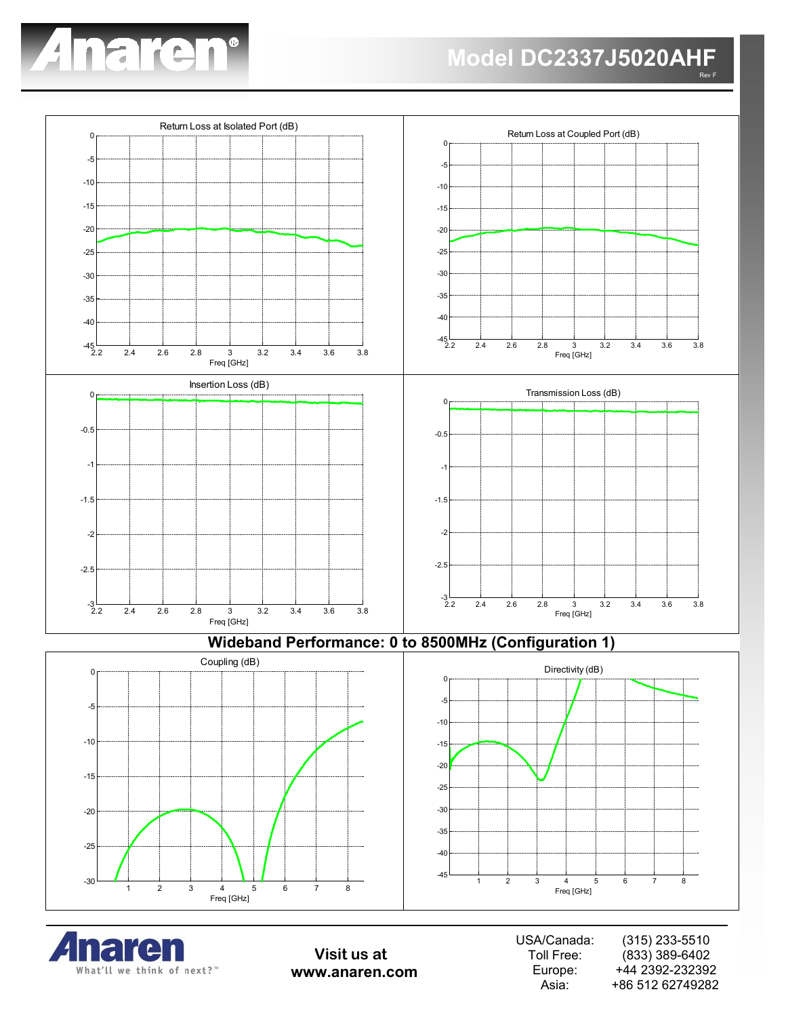



**Wideband Performance: 0 to 8500MHz (Configuration 1)**







**Visit us at www.anaren.com**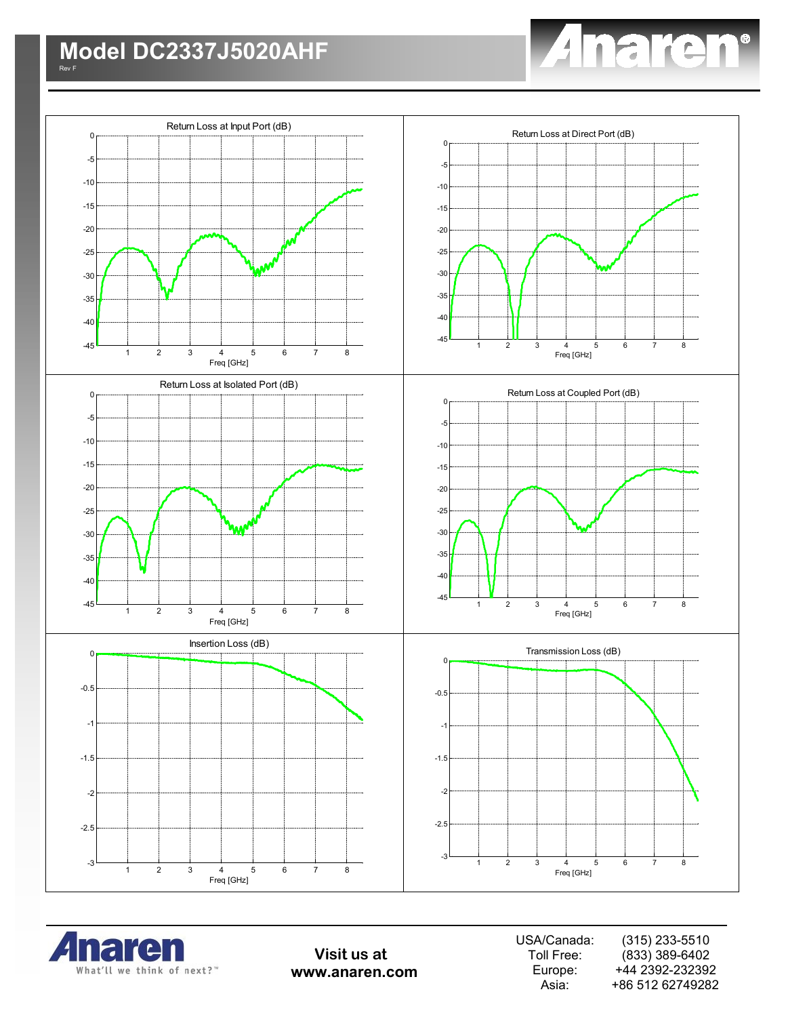





**Visit us at www.anaren.com**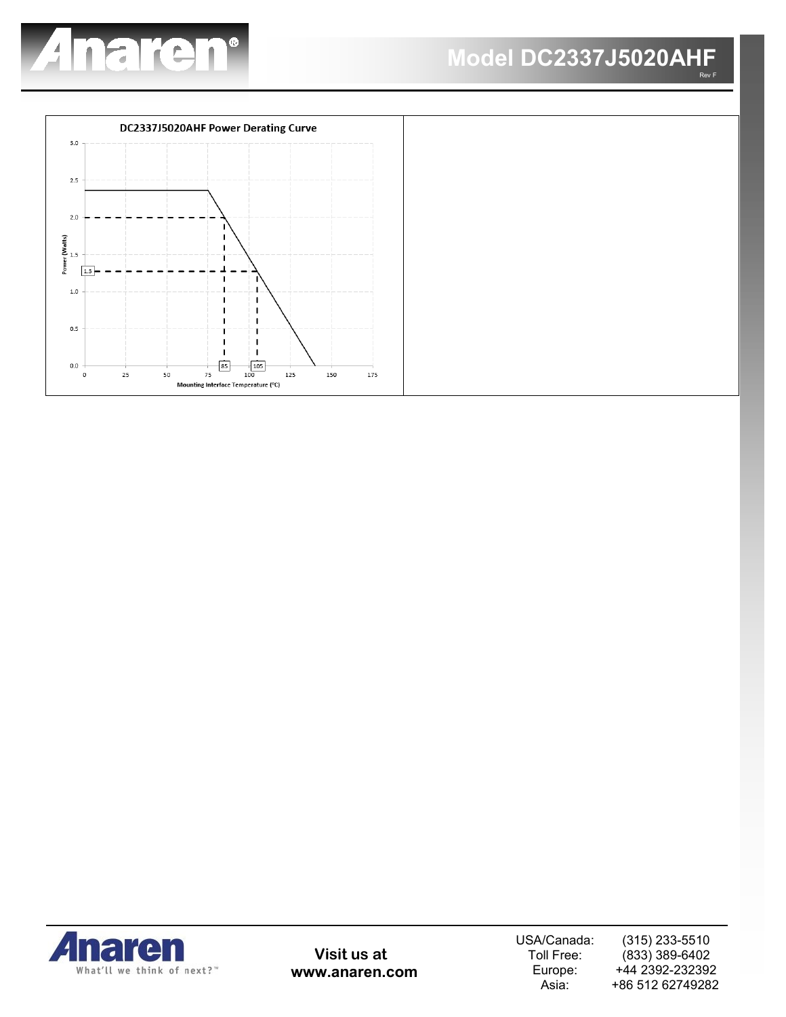





**Visit us at www.anaren.com** USA/Canada: Toll Free: Europe: Asia:

(315) 233-5510 (833) 389-6402 +44 2392-232392 +86 512 62749282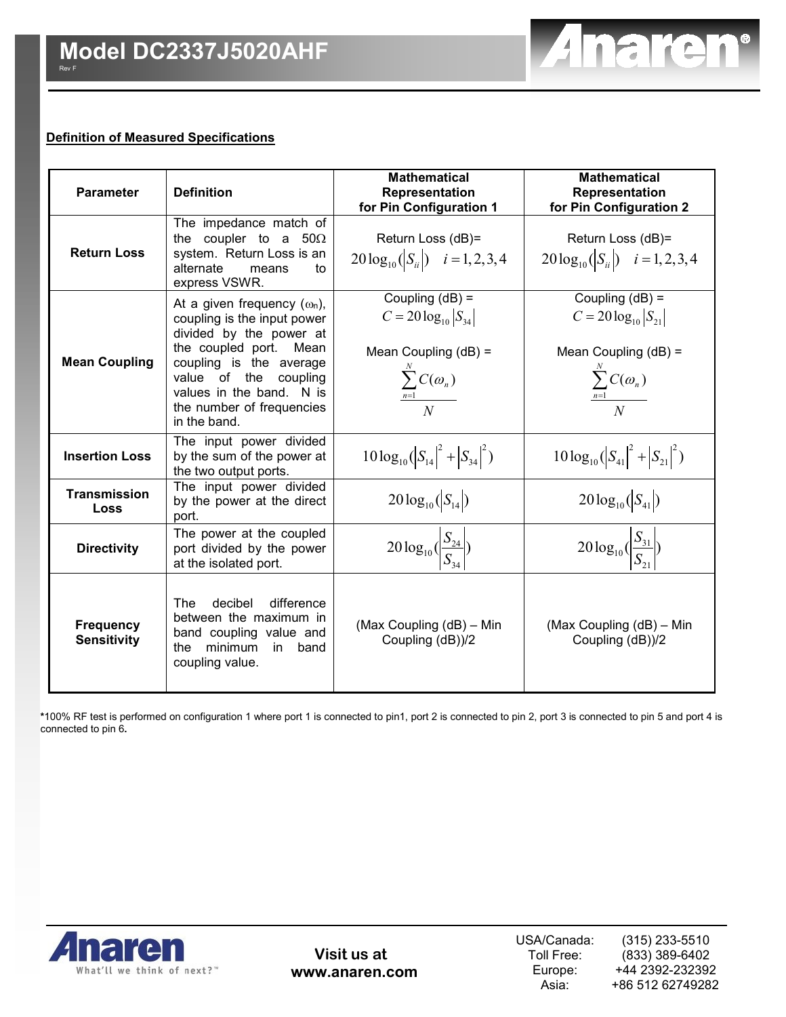#### **Definition of Measured Specifications**

| <b>Parameter</b>                       | <b>Definition</b>                                                                                                                                                                                                                                       | <b>Mathematical</b><br>Representation<br>for Pin Configuration 1                                                     | <b>Mathematical</b><br>Representation<br>for Pin Configuration 2                                                     |  |  |  |
|----------------------------------------|---------------------------------------------------------------------------------------------------------------------------------------------------------------------------------------------------------------------------------------------------------|----------------------------------------------------------------------------------------------------------------------|----------------------------------------------------------------------------------------------------------------------|--|--|--|
| <b>Return Loss</b>                     | The impedance match of<br>the coupler to a $50\Omega$<br>system. Return Loss is an<br>alternate<br>means<br>to<br>express VSWR.                                                                                                                         | Return Loss (dB)=<br>$20\log_{10}( S_{ii} )$ $i=1,2,3,4$                                                             | Return Loss (dB)=<br>$20\log_{10}( S_{ii} )$ $i=1,2,3,4$                                                             |  |  |  |
| <b>Mean Coupling</b>                   | At a given frequency $(\omega_n)$ ,<br>coupling is the input power<br>divided by the power at<br>the coupled port. Mean<br>coupling is the average<br>value of the<br>coupling<br>values in the band. N is<br>the number of frequencies<br>in the band. | Coupling $(dB) =$<br>$C = 20 \log_{10}  S_{34} $<br>Mean Coupling $(dB)$ =<br>$\frac{\sum_{n=1}^{N} C(\omega_n)}{N}$ | Coupling $(dB) =$<br>$C = 20 \log_{10}  S_{21} $<br>Mean Coupling $(dB)$ =<br>$\frac{\sum_{n=1}^{N} C(\omega_n)}{N}$ |  |  |  |
| <b>Insertion Loss</b>                  | The input power divided<br>by the sum of the power at<br>the two output ports.                                                                                                                                                                          | $10\log_{10}( S_{14} ^2+ S_{34} ^2)$                                                                                 | $10\log_{10}( S_{41} ^2 +  S_{21} ^2)$                                                                               |  |  |  |
| Transmission<br>Loss                   | The input power divided<br>by the power at the direct<br>port.                                                                                                                                                                                          | $20\log_{10}( S_{14} )$                                                                                              | $20\log_{10}( S_{41} )$                                                                                              |  |  |  |
| <b>Directivity</b>                     | The power at the coupled<br>port divided by the power<br>at the isolated port.                                                                                                                                                                          | $20\log_{10}(\frac{S_{24}}{S_{24}})$                                                                                 | $20\log_{10}(\frac{S_{31}}{S_{31}})$                                                                                 |  |  |  |
| <b>Frequency</b><br><b>Sensitivity</b> | decibel<br>difference<br>The<br>between the maximum in<br>band coupling value and<br>the minimum<br>in<br>band<br>coupling value.                                                                                                                       | (Max Coupling (dB) - Min<br>Coupling (dB))/2                                                                         | (Max Coupling (dB) - Min<br>Coupling (dB))/2                                                                         |  |  |  |

**\***100% RF test is performed on configuration 1 where port 1 is connected to pin1, port 2 is connected to pin 2, port 3 is connected to pin 5 and port 4 is connected to pin 6**.** 



**Visit us at www.anaren.com** Anaren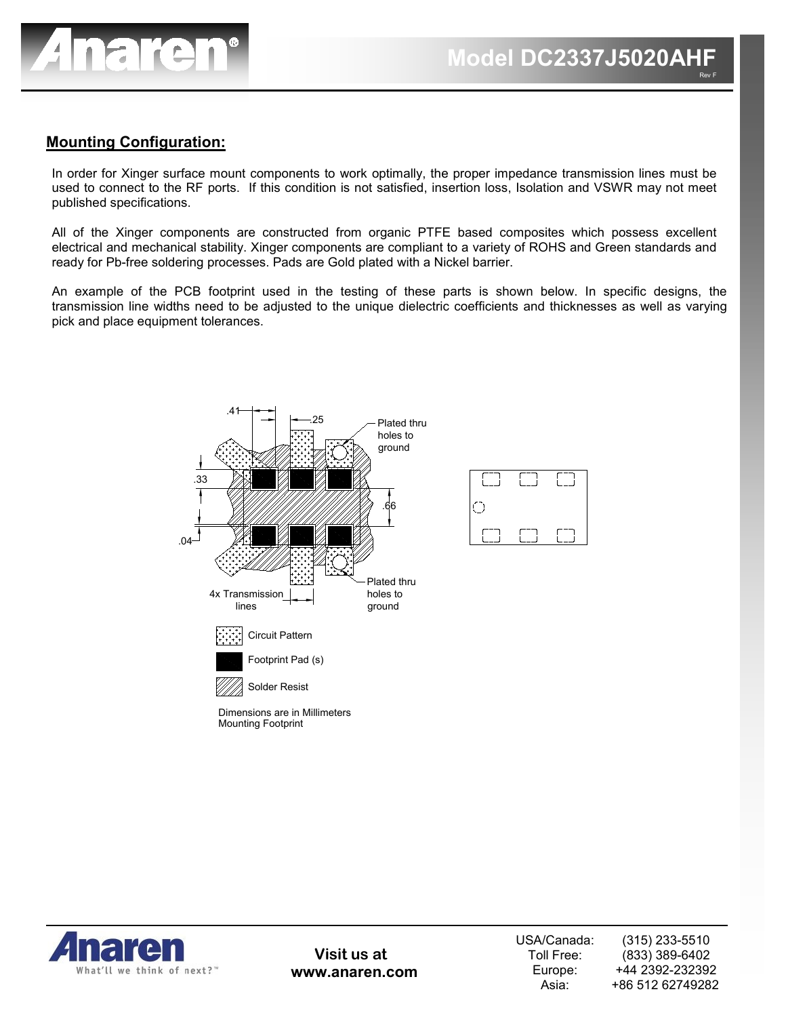

### **Mounting Configuration:**

In order for Xinger surface mount components to work optimally, the proper impedance transmission lines must be used to connect to the RF ports. If this condition is not satisfied, insertion loss, Isolation and VSWR may not meet published specifications.

All of the Xinger components are constructed from organic PTFE based composites which possess excellent electrical and mechanical stability. Xinger components are compliant to a variety of ROHS and Green standards and ready for Pb-free soldering processes. Pads are Gold plated with a Nickel barrier.

An example of the PCB footprint used in the testing of these parts is shown below. In specific designs, the transmission line widths need to be adjusted to the unique dielectric coefficients and thicknesses as well as varying pick and place equipment tolerances.